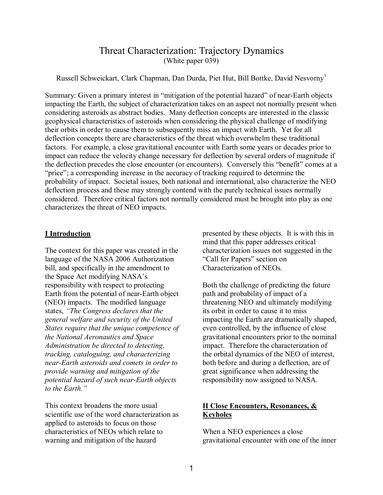# Threat Characterization: Trajectory Dynamics (White paper 039)

Russell Schweickart, Clark Chapman, Dan Durda, Piet Hut, Bill Bottke, David Nesvorny<sup>1</sup>

Summary: Given a primary interest in "mitigation of the potential hazard" of near-Earth objects impacting the Earth, the subject of characterization takes on an aspect not normally present when considering asteroids as abstract bodies. Many deflection concepts are interested in the classic geophysical characteristics of asteroids when considering the physical challenge of modifying their orbits in order to cause them to subsequently miss an impact with Earth. Yet for all deflection concepts there are characteristics of the threat which overwhelm these traditional factors. For example, a close gravitational encounter with Earth some years or decades prior to impact can reduce the velocity change necessary for deflection by several orders of magnitude if the deflection precedes the close encounter (or encounters). Conversely this "benefit" comes at a "price"; a corresponding increase in the accuracy of tracking required to determine the probability of impact. Societal issues, both national and international, also characterize the NEO deflection process and these may strongly contend with the purely technical issues normally considered. Therefore critical factors not normally considered must be brought into play as one characterizes the threat of NEO impacts.

#### **I Introduction**

The context for this paper was created in the language of the NASA 2006 Authorization bill, and specifically in the amendment to the Space Act modifying NASA's responsibility with respect to protecting Earth from the potential of near-Earth object (NEO) impacts. The modified language states, "The Congress declares that the *general welfare and security of the United States require that the unique competence of the National Aeronautics and Space Administration be directed to detecting, tracking, cataloguing, and characterizing near-Earth asteroids and comets in order to provide warning and mitigation of the potential hazard of such near-Earth objects*  to the Earth.<sup>"</sup>

This context broadens the more usual scientific use of the word characterization as applied to asteroids to focus on those characteristics of NEOs which relate to warning and mitigation of the hazard

presented by these objects. It is with this in mind that this paper addresses critical characterization issues not suggested in the "Call for Papers" section on Characterization of NEOs.

Both the challenge of predicting the future path and probability of impact of a threatening NEO and ultimately modifying its orbit in order to cause it to miss impacting the Earth are dramatically shaped, even controlled, by the influence of close gravitational encounters prior to the nominal impact. Therefore the characterization of the orbital dynamics of the NEO of interest, both before and during a deflection, are of great significance when addressing the responsibility now assigned to NASA.

## **II Close Encounters, Resonances, & Keyholes**

When a NEO experiences a close gravitational encounter with one of the inner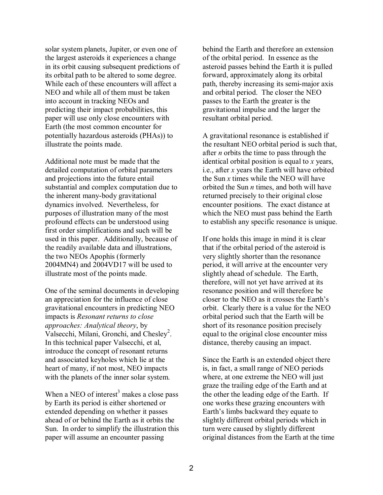solar system planets, Jupiter, or even one of the largest asteroids it experiences a change in its orbit causing subsequent predictions of its orbital path to be altered to some degree. While each of these encounters will affect a NEO and while all of them must be taken into account in tracking NEOs and predicting their impact probabilities, this paper will use only close encounters with Earth (the most common encounter for potentially hazardous asteroids (PHAs)) to illustrate the points made.

Additional note must be made that the detailed computation of orbital parameters and projections into the future entail substantial and complex computation due to the inherent many-body gravitational dynamics involved. Nevertheless, for purposes of illustration many of the most profound effects can be understood using first order simplifications and such will be used in this paper. Additionally, because of the readily available data and illustrations, the two NEOs Apophis (formerly 2004MN4) and 2004VD17 will be used to illustrate most of the points made.

One of the seminal documents in developing an appreciation for the influence of close gravitational encounters in predicting NEO impacts is *Resonant returns to close approaches: Analytical theory*, by Valsecchi, Milani, Gronchi, and Chesley<sup>2</sup>. In this technical paper Valsecchi, et al, introduce the concept of resonant returns and associated keyholes which lie at the heart of many, if not most, NEO impacts with the planets of the inner solar system.

When a NEO of interest<sup>3</sup> makes a close pass by Earth its period is either shortened or extended depending on whether it passes ahead of or behind the Earth as it orbits the Sun. In order to simplify the illustration this paper will assume an encounter passing

behind the Earth and therefore an extension of the orbital period. In essence as the asteroid passes behind the Earth it is pulled forward, approximately along its orbital path, thereby increasing its semi-major axis and orbital period. The closer the NEO passes to the Earth the greater is the gravitational impulse and the larger the resultant orbital period.

A gravitational resonance is established if the resultant NEO orbital period is such that, after *n* orbits the time to pass through the identical orbital position is equal to *x* years, i.e., after *x* years the Earth will have orbited the Sun *x* times while the NEO will have orbited the Sun *n* times, and both will have returned precisely to their original close encounter positions. The exact distance at which the NEO must pass behind the Earth to establish any specific resonance is unique.

If one holds this image in mind it is clear that if the orbital period of the asteroid is very slightly shorter than the resonance period, it will arrive at the encounter very slightly ahead of schedule. The Earth, therefore, will not yet have arrived at its resonance position and will therefore be closer to the NEO as it crosses the Earth's orbit. Clearly there is a value for the NEO orbital period such that the Earth will be short of its resonance position precisely equal to the original close encounter miss distance, thereby causing an impact.

Since the Earth is an extended object there is, in fact, a small range of NEO periods where, at one extreme the NEO will just graze the trailing edge of the Earth and at the other the leading edge of the Earth. If one works these grazing encounters with Earth's limbs backward they equate to slightly different orbital periods which in turn were caused by slightly different original distances from the Earth at the time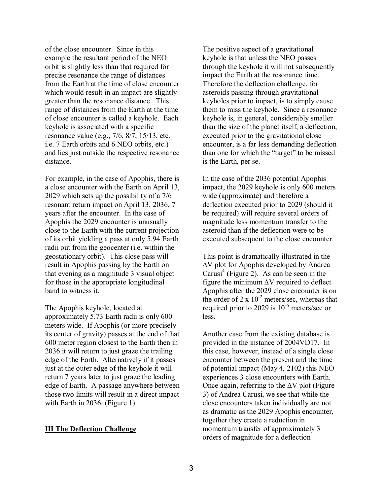of the close encounter. Since in this example the resultant period of the NEO orbit is slightly less than that required for precise resonance the range of distances from the Earth at the time of close encounter which would result in an impact are slightly greater than the resonance distance. This range of distances from the Earth at the time of close encounter is called a keyhole. Each keyhole is associated with a specific resonance value (e.g., 7/6, 8/7, 15/13, etc. i.e. 7 Earth orbits and 6 NEO orbits, etc.) and lies just outside the respective resonance distance.

For example, in the case of Apophis, there is a close encounter with the Earth on April 13, 2029 which sets up the possibility of a 7/6 resonant return impact on April 13, 2036, 7 years after the encounter. In the case of Apophis the 2029 encounter is unusually close to the Earth with the current projection of its orbit yielding a pass at only 5.94 Earth radii out from the geocenter (i.e. within the geostationary orbit). This close pass will result in Apophis passing by the Earth on that evening as a magnitude 3 visual object for those in the appropriate longitudinal band to witness it.

The Apophis keyhole, located at approximately 5.73 Earth radii is only 600 meters wide. If Apophis (or more precisely its center of gravity) passes at the end of that 600 meter region closest to the Earth then in 2036 it will return to just graze the trailing edge of the Earth. Alternatively if it passes just at the outer edge of the keyhole it will return 7 years later to just graze the leading edge of Earth. A passage anywhere between those two limits will result in a direct impact with Earth in 2036. (Figure 1)

#### **III The Deflection Challenge**

The positive aspect of a gravitational keyhole is that unless the NEO passes through the keyhole it will not subsequently impact the Earth at the resonance time. Therefore the deflection challenge, for asteroids passing through gravitational keyholes prior to impact, is to simply cause them to miss the keyhole. Since a resonance keyhole is, in general, considerably smaller than the size of the planet itself, a deflection, executed prior to the gravitational close encounter, is a far less demanding deflection than one for which the "target" to be missed is the Earth, per se.

In the case of the 2036 potential Apophis impact, the 2029 keyhole is only 600 meters wide (approximate) and therefore a deflection executed prior to 2029 (should it be required) will require several orders of magnitude less momentum transfer to the asteroid than if the deflection were to be executed subsequent to the close encounter.

This point is dramatically illustrated in the ∆V plot for Apophis developed by Andrea Carusi<sup>4</sup> (Figure 2). As can be seen in the figure the minimum ∆V required to deflect Apophis after the 2029 close encounter is on the order of 2 x  $10^{-2}$  meters/sec, whereas that required prior to 2029 is  $10^{-6}$  meters/sec or less.

Another case from the existing database is provided in the instance of 2004VD17. In this case, however, instead of a single close encounter between the present and the time of potential impact (May 4, 2102) this NEO experiences 3 close encounters with Earth. Once again, referring to the ∆V plot (Figure 3) of Andrea Carusi, we see that while the close encounters taken individually are not as dramatic as the 2029 Apophis encounter, together they create a reduction in momentum transfer of approximately 3 orders of magnitude for a deflection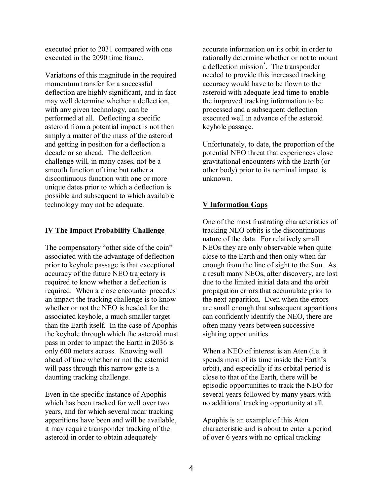executed prior to 2031 compared with one executed in the 2090 time frame.

Variations of this magnitude in the required momentum transfer for a successful deflection are highly significant, and in fact may well determine whether a deflection, with any given technology, can be performed at all. Deflecting a specific asteroid from a potential impact is not then simply a matter of the mass of the asteroid and getting in position for a deflection a decade or so ahead. The deflection challenge will, in many cases, not be a smooth function of time but rather a discontinuous function with one or more unique dates prior to which a deflection is possible and subsequent to which available technology may not be adequate.

### **IV The Impact Probability Challenge**

The compensatory "other side of the coin" associated with the advantage of deflection prior to keyhole passage is that exceptional accuracy of the future NEO trajectory is required to know whether a deflection is required. When a close encounter precedes an impact the tracking challenge is to know whether or not the NEO is headed for the associated keyhole, a much smaller target than the Earth itself. In the case of Apophis the keyhole through which the asteroid must pass in order to impact the Earth in 2036 is only 600 meters across. Knowing well ahead of time whether or not the asteroid will pass through this narrow gate is a daunting tracking challenge.

Even in the specific instance of Apophis which has been tracked for well over two years, and for which several radar tracking apparitions have been and will be available, it may require transponder tracking of the asteroid in order to obtain adequately

accurate information on its orbit in order to rationally determine whether or not to mount a deflection mission<sup>5</sup>. The transponder needed to provide this increased tracking accuracy would have to be flown to the asteroid with adequate lead time to enable the improved tracking information to be processed and a subsequent deflection executed well in advance of the asteroid keyhole passage.

Unfortunately, to date, the proportion of the potential NEO threat that experiences close gravitational encounters with the Earth (or other body) prior to its nominal impact is unknown.

## **V Information Gaps**

One of the most frustrating characteristics of tracking NEO orbits is the discontinuous nature of the data. For relatively small NEOs they are only observable when quite close to the Earth and then only when far enough from the line of sight to the Sun. As a result many NEOs, after discovery, are lost due to the limited initial data and the orbit propagation errors that accumulate prior to the next apparition. Even when the errors are small enough that subsequent apparitions can confidently identify the NEO, there are often many years between successive sighting opportunities.

When a NEO of interest is an Aten (i.e. it spends most of its time inside the Earth's orbit), and especially if its orbital period is close to that of the Earth, there will be episodic opportunities to track the NEO for several years followed by many years with no additional tracking opportunity at all.

Apophis is an example of this Aten characteristic and is about to enter a period of over 6 years with no optical tracking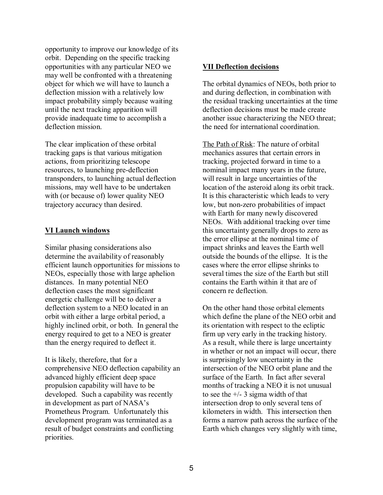opportunity to improve our knowledge of its orbit. Depending on the specific tracking opportunities with any particular NEO we may well be confronted with a threatening object for which we will have to launch a deflection mission with a relatively low impact probability simply because waiting until the next tracking apparition will provide inadequate time to accomplish a deflection mission.

The clear implication of these orbital tracking gaps is that various mitigation actions, from prioritizing telescope resources, to launching pre-deflection transponders, to launching actual deflection missions, may well have to be undertaken with (or because of) lower quality NEO trajectory accuracy than desired.

#### **VI Launch windows**

Similar phasing considerations also determine the availability of reasonably efficient launch opportunities for missions to NEOs, especially those with large aphelion distances. In many potential NEO deflection cases the most significant energetic challenge will be to deliver a deflection system to a NEO located in an orbit with either a large orbital period, a highly inclined orbit, or both. In general the energy required to get to a NEO is greater than the energy required to deflect it.

It is likely, therefore, that for a comprehensive NEO deflection capability an advanced highly efficient deep space propulsion capability will have to be developed. Such a capability was recently in development as part of NASA's Prometheus Program. Unfortunately this development program was terminated as a result of budget constraints and conflicting priorities.

#### **VII Deflection decisions**

The orbital dynamics of NEOs, both prior to and during deflection, in combination with the residual tracking uncertainties at the time deflection decisions must be made create another issue characterizing the NEO threat; the need for international coordination.

The Path of Risk: The nature of orbital mechanics assures that certain errors in tracking, projected forward in time to a nominal impact many years in the future, will result in large uncertainties of the location of the asteroid along its orbit track. It is this characteristic which leads to very low, but non-zero probabilities of impact with Earth for many newly discovered NEOs. With additional tracking over time this uncertainty generally drops to zero as the error ellipse at the nominal time of impact shrinks and leaves the Earth well outside the bounds of the ellipse. It is the cases where the error ellipse shrinks to several times the size of the Earth but still contains the Earth within it that are of concern re deflection.

On the other hand those orbital elements which define the plane of the NEO orbit and its orientation with respect to the ecliptic firm up very early in the tracking history. As a result, while there is large uncertainty in whether or not an impact will occur, there is surprisingly low uncertainty in the intersection of the NEO orbit plane and the surface of the Earth. In fact after several months of tracking a NEO it is not unusual to see the  $+/- 3$  sigma width of that intersection drop to only several tens of kilometers in width. This intersection then forms a narrow path across the surface of the Earth which changes very slightly with time,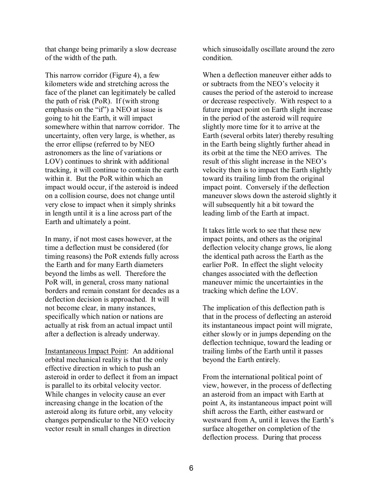that change being primarily a slow decrease of the width of the path.

This narrow corridor (Figure 4), a few kilometers wide and stretching across the face of the planet can legitimately be called the path of risk (PoR). If (with strong emphasis on the " $if$ ") a NEO at issue is going to hit the Earth, it will impact somewhere within that narrow corridor. The uncertainty, often very large, is whether, as the error ellipse (referred to by NEO astronomers as the line of variations or LOV) continues to shrink with additional tracking, it will continue to contain the earth within it. But the PoR within which an impact would occur, if the asteroid is indeed on a collision course, does not change until very close to impact when it simply shrinks in length until it is a line across part of the Earth and ultimately a point.

In many, if not most cases however, at the time a deflection must be considered (for timing reasons) the PoR extends fully across the Earth and for many Earth diameters beyond the limbs as well. Therefore the PoR will, in general, cross many national borders and remain constant for decades as a deflection decision is approached. It will not become clear, in many instances, specifically which nation or nations are actually at risk from an actual impact until after a deflection is already underway.

Instantaneous Impact Point: An additional orbital mechanical reality is that the only effective direction in which to push an asteroid in order to deflect it from an impact is parallel to its orbital velocity vector. While changes in velocity cause an ever increasing change in the location of the asteroid along its future orbit, any velocity changes perpendicular to the NEO velocity vector result in small changes in direction

which sinusoidally oscillate around the zero condition.

When a deflection maneuver either adds to or subtracts from the NEO's velocity it causes the period of the asteroid to increase or decrease respectively. With respect to a future impact point on Earth slight increase in the period of the asteroid will require slightly more time for it to arrive at the Earth (several orbits later) thereby resulting in the Earth being slightly further ahead in its orbit at the time the NEO arrives. The result of this slight increase in the NEO's velocity then is to impact the Earth slightly toward its trailing limb from the original impact point. Conversely if the deflection maneuver slows down the asteroid slightly it will subsequently hit a bit toward the leading limb of the Earth at impact.

It takes little work to see that these new impact points, and others as the original deflection velocity change grows, lie along the identical path across the Earth as the earlier PoR. In effect the slight velocity changes associated with the deflection maneuver mimic the uncertainties in the tracking which define the LOV.

The implication of this deflection path is that in the process of deflecting an asteroid its instantaneous impact point will migrate, either slowly or in jumps depending on the deflection technique, toward the leading or trailing limbs of the Earth until it passes beyond the Earth entirely.

From the international political point of view, however, in the process of deflecting an asteroid from an impact with Earth at point A, its instantaneous impact point will shift across the Earth, either eastward or westward from A, until it leaves the Earth's surface altogether on completion of the deflection process. During that process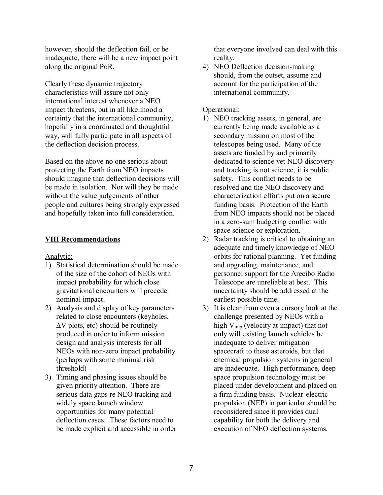however, should the deflection fail, or be inadequate, there will be a new impact point along the original PoR.

Clearly these dynamic trajectory characteristics will assure not only international interest whenever a NEO impact threatens, but in all likelihood a certainty that the international community, hopefully in a coordinated and thoughtful way, will fully participate in all aspects of the deflection decision process.

Based on the above no one serious about protecting the Earth from NEO impacts should imagine that deflection decisions will be made in isolation. Nor will they be made without the value judgements of other people and cultures being strongly expressed and hopefully taken into full consideration.

## **VIII Recommendations**

Analytic:

- 1) Statistical determination should be made of the size of the cohort of NEOs with impact probability for which close gravitational encounters will precede nominal impact.
- 2) Analysis and display of key parameters related to close encounters (keyholes,  $\Delta V$  plots, etc) should be routinely produced in order to inform mission design and analysis interests for all NEOs with non-zero impact probability (perhaps with some minimal risk threshold)
- 3) Timing and phasing issues should be given priority attention. There are serious data gaps re NEO tracking and widely space launch window opportunities for many potential deflection cases. These factors need to be made explicit and accessible in order

that everyone involved can deal with this reality.

4) NEO Deflection decision-making should, from the outset, assume and account for the participation of the international community.

### Operational:

- 1) NEO tracking assets, in general, are currently being made available as a secondary mission on most of the telescopes being used. Many of the assets are funded by and primarily dedicated to science yet NEO discovery and tracking is not science, it is public safety. This conflict needs to be resolved and the NEO discovery and characterization efforts put on a secure funding basis. Protection of the Earth from NEO impacts should not be placed in a zero-sum budgeting conflict with space science or exploration.
- 2) Radar tracking is critical to obtaining an adequate and timely knowledge of NEO orbits for rational planning. Yet funding and upgrading, maintenance, and personnel support for the Arecibo Radio Telescope are unreliable at best. This uncertainty should be addressed at the earliest possible time.
- 3) It is clear from even a cursory look at the challenge presented by NEOs with a high  $V_{\text{imp}}$  (velocity at impact) that not only will existing launch vehicles be inadequate to deliver mitigation spacecraft to these asteroids, but that chemical propulsion systems in general are inadequate. High performance, deep space propulsion technology must be placed under development and placed on a firm funding basis. Nuclear-electric propulsion (NEP) in particular should be reconsidered since it provides dual capability for both the delivery and execution of NEO deflection systems.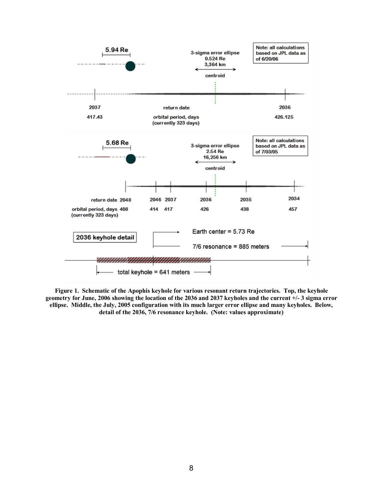

**Figure 1. Schematic of the Apophis keyhole for various resonant return trajectories. Top, the keyhole geometry for June, 2006 showing the location of the 2036 and 2037 keyholes and the current +/- 3 sigma error ellipse. Middle, the July, 2005 configuration with its much larger error ellipse and many keyholes. Below, detail of the 2036, 7/6 resonance keyhole. (Note: values approximate)**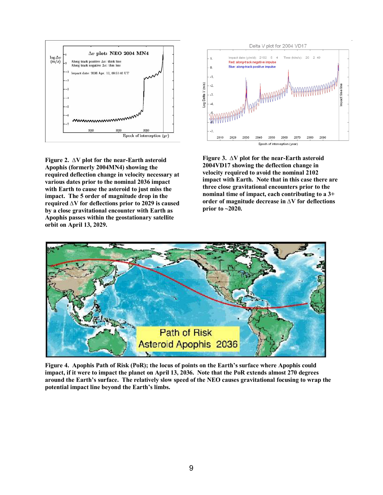

**Figure 2. ∆V plot for the near-Earth asteroid Apophis (formerly 2004MN4) showing the required deflection change in velocity necessary at various dates prior to the nominal 2036 impact with Earth to cause the asteroid to just miss the impact. The 5 order of magnitude drop in the required ∆V for deflections prior to 2029 is caused by a close gravitational encounter with Earth as Apophis passes within the geostationary satellite orbit on April 13, 2029.** 



**Figure 3. ∆V plot for the near-Earth asteroid 2004VD17 showing the deflection change in velocity required to avoid the nominal 2102 impact with Earth. Note that in this case there are three close gravitational encounters prior to the nominal time of impact, each contributing to a 3+ order of magnitude decrease in ∆V for deflections prior to ~2020.** 



Figure 4. Apophis Path of Risk (PoR); the locus of points on the Earth's surface where Apophis could **impact, if it were to impact the planet on April 13, 2036. Note that the PoR extends almost 270 degrees**  around the Earth's surface. The relatively slow speed of the NEO causes gravitational focusing to wrap the potential impact line beyond the Earth's limbs.